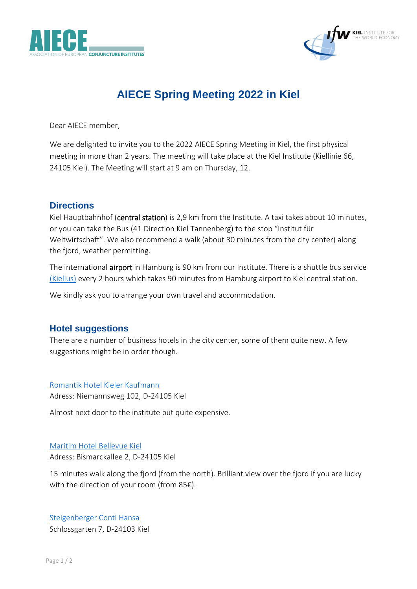



# **AIECE Spring Meeting 2022 in Kiel**

Dear AIECE member,

We are delighted to invite you to the 2022 AIECE Spring Meeting in Kiel, the first physical meeting in more than 2 years. The meeting will take place at the Kiel Institute (Kiellinie 66, 24105 Kiel). The Meeting will start at 9 am on Thursday, 12.

## **Directions**

Kiel Hauptbahnhof (central station) is 2,9 km from the Institute. A taxi takes about 10 minutes, or you can take the Bus (41 Direction Kiel Tannenberg) to the stop "Institut für Weltwirtschaft". We also recommend a walk (about 30 minutes from the city center) along the fjord, weather permitting.

The international airport in Hamburg is 90 km from our Institute. There is a shuttle bus service [\(Kielius\)](https://kielius-onlinebuchung.de/travel/tickets-fares) every 2 hours which takes 90 minutes from Hamburg airport to Kiel central station.

We kindly ask you to arrange your own travel and accommodation.

## **Hotel suggestions**

There are a number of business hotels in the city center, some of them quite new. A few suggestions might be in order though.

#### [Romantik Hotel Kieler Kaufmann](https://www.kieler-kaufmann.de/en/)

Adress: Niemannsweg 102, D-24105 Kiel

Almost next door to the institute but quite expensive.

### [Maritim Hotel Bellevue Kiel](https://www.maritim.com/en/hotels/germany/hotel-bellevue-kiel/hotel-overview) Adress: Bismarckallee 2, D-24105 Kiel

15 minutes walk along the fjord (from the north). Brilliant view over the fjord if you are lucky with the direction of your room (from 85€).

[Steigenberger Conti Hansa](https://www.steigenberger.com/en/hotels/all-hotels/germany/kiel/steigenberger-conti-hansa) Schlossgarten 7, D-24103 Kiel